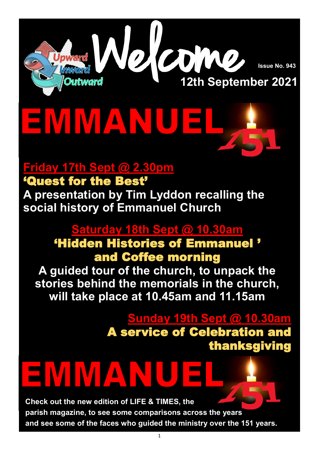

**Issue No. 943**

# EMMAN

# **Friday 17th Sept @ 2.30pm**

'Quest for the Best' **A presentation by Tim Lyddon recalling the social history of Emmanuel Church** 

# **Saturday 18th Sept @ 10.30am**

## 'Hidden Histories of Emmanuel ' and Coffee morning

**A guided tour of the church, to unpack the stories behind the memorials in the church, will take place at 10.45am and 11.15am** 

> **Sunday 19th Sept @ 10.30am**  A service of Celebration and thanksgiving

# ENIMA **Check out the new edition of LIFE & TIMES, the**

**parish magazine, to see some comparisons across the years and see some of the faces who guided the ministry over the 151 years.**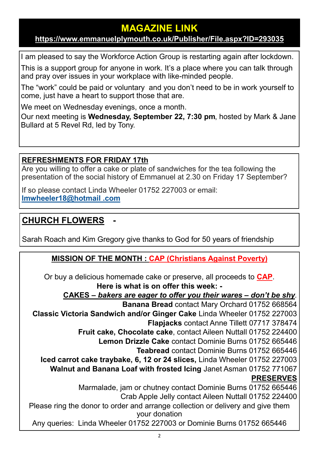#### **MAGAZINE LINK**

#### **<https://www.emmanuelplymouth.co.uk/Publisher/File.aspx?ID=293035>**

I am pleased to say the Workforce Action Group is restarting again after lockdown. This is a support group for anyone in work. It's a place where you can talk through and pray over issues in your workplace with like-minded people.

The "work" could be paid or voluntary and you don't need to be in work yourself to come, just have a heart to support those that are.

We meet on Wednesday evenings, once a month.

Our next meeting is **Wednesday, September 22, 7:30 pm**, hosted by Mark & Jane Bullard at 5 Revel Rd, led by Tony.

#### **REFRESHMENTS FOR FRIDAY 17th**

Are you willing to offer a cake or plate of sandwiches for the tea following the presentation of the social history of Emmanuel at 2.30 on Friday 17 September?

If so please contact Linda Wheeler 01752 227003 or email: **[lmwheeler18@hotmail .com](mailto:lmwheeler18@hotmail.com)**

#### **CHURCH FLOWERS -**

Sarah Roach and Kim Gregory give thanks to God for 50 years of friendship

#### **MISSION OF THE MONTH : [CAP \(Christians Against Poverty\)](https://capuk.org/)**

Or buy a delicious homemade cake or preserve, all proceeds to **[CAP](https://capuk.org/)**. **Here is what is on offer this week: -**

**CAKES –** *bakers are eager to offer you their wares – don't be shy.* 

**Banana Bread** contact Mary Orchard 01752 668564

**Classic Victoria Sandwich and/or Ginger Cake** Linda Wheeler 01752 227003

**Flapjacks** contact Anne Tillett 07717 378474

**Fruit cake, Chocolate cake**, contact Aileen Nuttall 01752 224400

**Lemon Drizzle Cake** contact Dominie Burns 01752 665446

**Teabread** contact Dominie Burns 01752 665446

**Iced carrot cake traybake, 6, 12 or 24 slices,** Linda Wheeler 01752 227003

**Walnut and Banana Loaf with frosted Icing** Janet Asman 01752 771067

#### **PRESERVES**

Marmalade, jam or chutney contact Dominie Burns 01752 665446

Crab Apple Jelly contact Aileen Nuttall 01752 224400

Please ring the donor to order and arrange collection or delivery and give them your donation

Any queries: Linda Wheeler 01752 227003 or Dominie Burns 01752 665446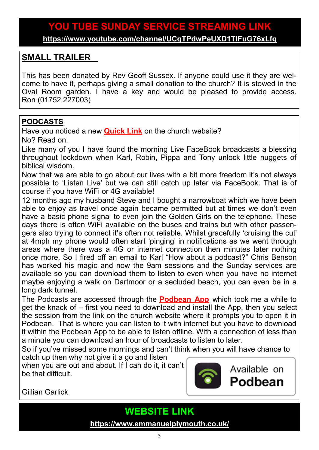## **YOU TUBE SUNDAY SERVICE STREAMING LINK**

**<https://www.youtube.com/channel/UCqTPdwPeUXD1TIFuG76xLfg>**

#### **SMALL TRAILER**

This has been donated by Rev Geoff Sussex. If anyone could use it they are welcome to have it, perhaps giving a small donation to the church? It is stowed in the Oval Room garden. I have a key and would be pleased to provide access. Ron (01752 227003)

#### **PODCASTS**

Have you noticed a new **[Quick Link](https://www.emmanuelplymouth.co.uk/)** on the church website? No? Read on.

Like many of you I have found the morning Live FaceBook broadcasts a blessing throughout lockdown when Karl, Robin, Pippa and Tony unlock little nuggets of biblical wisdom.

Now that we are able to go about our lives with a bit more freedom it's not always possible to 'Listen Live' but we can still catch up later via FaceBook. That is of course if you have WiFi or 4G available!

12 months ago my husband Steve and I bought a narrowboat which we have been able to enjoy as travel once again became permitted but at times we don't even have a basic phone signal to even join the Golden Girls on the telephone. These days there is often WiFi available on the buses and trains but with other passengers also trying to connect it's often not reliable. Whilst gracefully 'cruising the cut' at 4mph my phone would often start 'pinging' in notifications as we went through areas where there was a 4G or internet connection then minutes later nothing once more. So I fired off an email to Karl "How about a podcast?" Chris Benson has worked his magic and now the 9am sessions and the Sunday services are available so you can download them to listen to even when you have no internet maybe enjoying a walk on Dartmoor or a secluded beach, you can even be in a long dark tunnel.

The Podcasts are accessed through the **[Podbean App](https://www.podbean.com/)** which took me a while to get the knack of – first you need to download and install the App, then you select the session from the link on the church website where it prompts you to open it in Podbean. That is where you can listen to it with internet but you have to download it within the Podbean App to be able to listen offline. With a connection of less than a minute you can download an hour of broadcasts to listen to later.

So if you've missed some mornings and can't think when you will have chance to catch up then why not give it a go and listen

when you are out and about. If I can do it, it can't be that difficult.



Available on Podbean

Gillian Garlick

**WEBSITE LINK** 

**<https://www.emmanuelplymouth.co.uk/>**